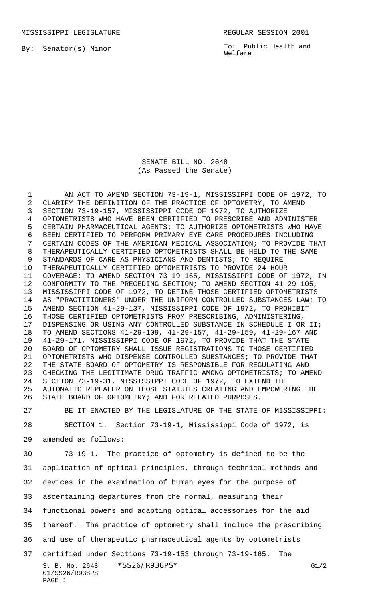MISSISSIPPI LEGISLATURE **REGULAR SESSION 2001** 

By: Senator(s) Minor

To: Public Health and Welfare

SENATE BILL NO. 2648 (As Passed the Senate)

 AN ACT TO AMEND SECTION 73-19-1, MISSISSIPPI CODE OF 1972, TO CLARIFY THE DEFINITION OF THE PRACTICE OF OPTOMETRY; TO AMEND SECTION 73-19-157, MISSISSIPPI CODE OF 1972, TO AUTHORIZE OPTOMETRISTS WHO HAVE BEEN CERTIFIED TO PRESCRIBE AND ADMINISTER CERTAIN PHARMACEUTICAL AGENTS; TO AUTHORIZE OPTOMETRISTS WHO HAVE BEEN CERTIFIED TO PERFORM PRIMARY EYE CARE PROCEDURES INCLUDING CERTAIN CODES OF THE AMERICAN MEDICAL ASSOCIATION; TO PROVIDE THAT THERAPEUTICALLY CERTIFIED OPTOMETRISTS SHALL BE HELD TO THE SAME STANDARDS OF CARE AS PHYSICIANS AND DENTISTS; TO REQUIRE THERAPEUTICALLY CERTIFIED OPTOMETRISTS TO PROVIDE 24-HOUR COVERAGE; TO AMEND SECTION 73-19-165, MISSISSIPPI CODE OF 1972, IN CONFORMITY TO THE PRECEDING SECTION; TO AMEND SECTION 41-29-105, MISSISSIPPI CODE OF 1972, TO DEFINE THOSE CERTIFIED OPTOMETRISTS AS "PRACTITIONERS" UNDER THE UNIFORM CONTROLLED SUBSTANCES LAW; TO AMEND SECTION 41-29-137, MISSISSIPPI CODE OF 1972, TO PROHIBIT THOSE CERTIFIED OPTOMETRISTS FROM PRESCRIBING, ADMINISTERING, DISPENSING OR USING ANY CONTROLLED SUBSTANCE IN SCHEDULE I OR II; TO AMEND SECTIONS 41-29-109, 41-29-157, 41-29-159, 41-29-167 AND 41-29-171, MISSISSIPPI CODE OF 1972, TO PROVIDE THAT THE STATE BOARD OF OPTOMETRY SHALL ISSUE REGISTRATIONS TO THOSE CERTIFIED OPTOMETRISTS WHO DISPENSE CONTROLLED SUBSTANCES; TO PROVIDE THAT THE STATE BOARD OF OPTOMETRY IS RESPONSIBLE FOR REGULATING AND CHECKING THE LEGITIMATE DRUG TRAFFIC AMONG OPTOMETRISTS; TO AMEND SECTION 73-19-31, MISSISSIPPI CODE OF 1972, TO EXTEND THE AUTOMATIC REPEALER ON THOSE STATUTES CREATING AND EMPOWERING THE STATE BOARD OF OPTOMETRY; AND FOR RELATED PURPOSES.

 BE IT ENACTED BY THE LEGISLATURE OF THE STATE OF MISSISSIPPI: SECTION 1. Section 73-19-1, Mississippi Code of 1972, is

amended as follows:

PAGE 1

S. B. No. 2648 \* SS26/R938PS\* G1/2 01/SS26/R938PS 73-19-1. The practice of optometry is defined to be the application of optical principles, through technical methods and devices in the examination of human eyes for the purpose of ascertaining departures from the normal, measuring their functional powers and adapting optical accessories for the aid thereof. The practice of optometry shall include the prescribing and use of therapeutic pharmaceutical agents by optometrists certified under Sections 73-19-153 through 73-19-165. The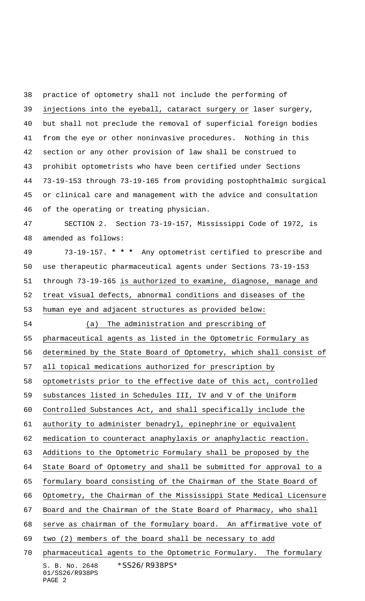practice of optometry shall not include the performing of injections into the eyeball, cataract surgery or laser surgery, but shall not preclude the removal of superficial foreign bodies from the eye or other noninvasive procedures. Nothing in this section or any other provision of law shall be construed to prohibit optometrists who have been certified under Sections 73-19-153 through 73-19-165 from providing postophthalmic surgical or clinical care and management with the advice and consultation of the operating or treating physician. SECTION 2. Section 73-19-157, Mississippi Code of 1972, is amended as follows: 73-19-157. **\* \* \*** Any optometrist certified to prescribe and use therapeutic pharmaceutical agents under Sections 73-19-153 through 73-19-165 is authorized to examine, diagnose, manage and treat visual defects, abnormal conditions and diseases of the human eye and adjacent structures as provided below: (a) The administration and prescribing of pharmaceutical agents as listed in the Optometric Formulary as determined by the State Board of Optometry, which shall consist of all topical medications authorized for prescription by optometrists prior to the effective date of this act, controlled substances listed in Schedules III, IV and V of the Uniform

Controlled Substances Act, and shall specifically include the

authority to administer benadryl, epinephrine or equivalent

medication to counteract anaphylaxis or anaphylactic reaction.

Additions to the Optometric Formulary shall be proposed by the

State Board of Optometry and shall be submitted for approval to a

formulary board consisting of the Chairman of the State Board of

Optometry, the Chairman of the Mississippi State Medical Licensure

Board and the Chairman of the State Board of Pharmacy, who shall

serve as chairman of the formulary board. An affirmative vote of

two (2) members of the board shall be necessary to add

S. B. No. 2648 \*SS26/R938PS\* 01/SS26/R938PS PAGE 2 pharmaceutical agents to the Optometric Formulary. The formulary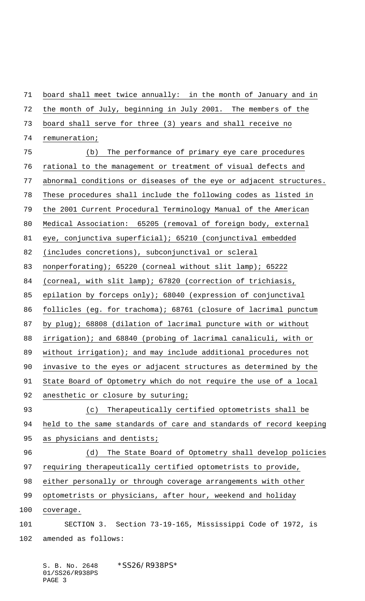board shall meet twice annually: in the month of January and in the month of July, beginning in July 2001. The members of the board shall serve for three (3) years and shall receive no remuneration; (b) The performance of primary eye care procedures rational to the management or treatment of visual defects and abnormal conditions or diseases of the eye or adjacent structures. These procedures shall include the following codes as listed in the 2001 Current Procedural Terminology Manual of the American Medical Association: 65205 (removal of foreign body, external eye, conjunctiva superficial); 65210 (conjunctival embedded (includes concretions), subconjunctival or scleral nonperforating); 65220 (corneal without slit lamp); 65222 (corneal, with slit lamp); 67820 (correction of trichiasis, epilation by forceps only); 68040 (expression of conjunctival follicles (eg. for trachoma); 68761 (closure of lacrimal punctum by plug); 68808 (dilation of lacrimal puncture with or without irrigation); and 68840 (probing of lacrimal canaliculi, with or without irrigation); and may include additional procedures not invasive to the eyes or adjacent structures as determined by the State Board of Optometry which do not require the use of a local 92 anesthetic or closure by suturing; (c) Therapeutically certified optometrists shall be held to the same standards of care and standards of record keeping 95 as physicians and dentists; (d) The State Board of Optometry shall develop policies requiring therapeutically certified optometrists to provide, either personally or through coverage arrangements with other optometrists or physicians, after hour, weekend and holiday coverage. SECTION 3. Section 73-19-165, Mississippi Code of 1972, is amended as follows: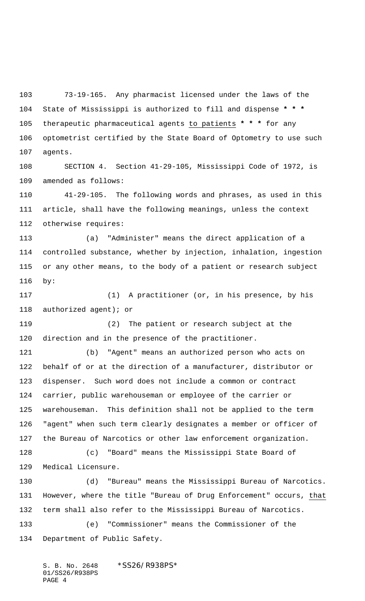73-19-165. Any pharmacist licensed under the laws of the State of Mississippi is authorized to fill and dispense **\* \* \*** therapeutic pharmaceutical agents to patients **\* \* \*** for any optometrist certified by the State Board of Optometry to use such agents.

 SECTION 4. Section 41-29-105, Mississippi Code of 1972, is amended as follows:

 41-29-105. The following words and phrases, as used in this article, shall have the following meanings, unless the context otherwise requires:

 (a) "Administer" means the direct application of a controlled substance, whether by injection, inhalation, ingestion or any other means, to the body of a patient or research subject by:

 (1) A practitioner (or, in his presence, by his authorized agent); or

 (2) The patient or research subject at the direction and in the presence of the practitioner.

 (b) "Agent" means an authorized person who acts on behalf of or at the direction of a manufacturer, distributor or dispenser. Such word does not include a common or contract carrier, public warehouseman or employee of the carrier or warehouseman. This definition shall not be applied to the term "agent" when such term clearly designates a member or officer of the Bureau of Narcotics or other law enforcement organization.

 (c) "Board" means the Mississippi State Board of Medical Licensure.

 (d) "Bureau" means the Mississippi Bureau of Narcotics. However, where the title "Bureau of Drug Enforcement" occurs, that term shall also refer to the Mississippi Bureau of Narcotics. (e) "Commissioner" means the Commissioner of the Department of Public Safety.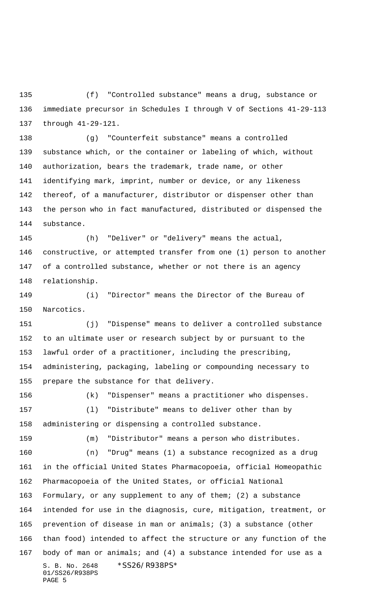(f) "Controlled substance" means a drug, substance or immediate precursor in Schedules I through V of Sections 41-29-113 through 41-29-121.

 (g) "Counterfeit substance" means a controlled substance which, or the container or labeling of which, without authorization, bears the trademark, trade name, or other identifying mark, imprint, number or device, or any likeness thereof, of a manufacturer, distributor or dispenser other than the person who in fact manufactured, distributed or dispensed the substance.

 (h) "Deliver" or "delivery" means the actual, constructive, or attempted transfer from one (1) person to another of a controlled substance, whether or not there is an agency relationship.

 (i) "Director" means the Director of the Bureau of Narcotics.

 (j) "Dispense" means to deliver a controlled substance to an ultimate user or research subject by or pursuant to the lawful order of a practitioner, including the prescribing, administering, packaging, labeling or compounding necessary to prepare the substance for that delivery.

S. B. No. 2648 \* SS26/R938PS\* 01/SS26/R938PS PAGE 5 (k) "Dispenser" means a practitioner who dispenses. (l) "Distribute" means to deliver other than by administering or dispensing a controlled substance. (m) "Distributor" means a person who distributes. (n) "Drug" means (1) a substance recognized as a drug in the official United States Pharmacopoeia, official Homeopathic Pharmacopoeia of the United States, or official National Formulary, or any supplement to any of them; (2) a substance intended for use in the diagnosis, cure, mitigation, treatment, or prevention of disease in man or animals; (3) a substance (other than food) intended to affect the structure or any function of the body of man or animals; and (4) a substance intended for use as a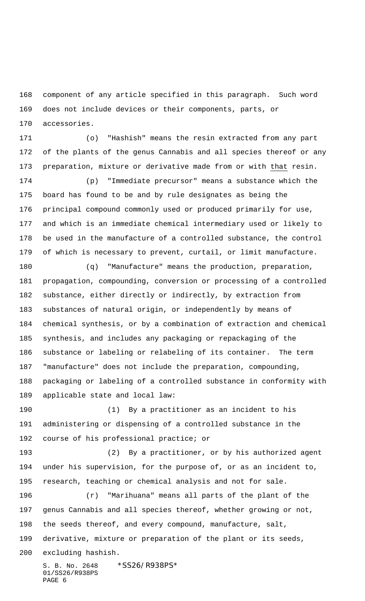component of any article specified in this paragraph. Such word does not include devices or their components, parts, or accessories.

 (o) "Hashish" means the resin extracted from any part of the plants of the genus Cannabis and all species thereof or any preparation, mixture or derivative made from or with that resin.

 (p) "Immediate precursor" means a substance which the board has found to be and by rule designates as being the principal compound commonly used or produced primarily for use, and which is an immediate chemical intermediary used or likely to be used in the manufacture of a controlled substance, the control of which is necessary to prevent, curtail, or limit manufacture.

 (q) "Manufacture" means the production, preparation, propagation, compounding, conversion or processing of a controlled substance, either directly or indirectly, by extraction from substances of natural origin, or independently by means of chemical synthesis, or by a combination of extraction and chemical synthesis, and includes any packaging or repackaging of the substance or labeling or relabeling of its container. The term "manufacture" does not include the preparation, compounding, packaging or labeling of a controlled substance in conformity with applicable state and local law:

 (1) By a practitioner as an incident to his administering or dispensing of a controlled substance in the course of his professional practice; or

 (2) By a practitioner, or by his authorized agent under his supervision, for the purpose of, or as an incident to, research, teaching or chemical analysis and not for sale.

 (r) "Marihuana" means all parts of the plant of the genus Cannabis and all species thereof, whether growing or not, the seeds thereof, and every compound, manufacture, salt, derivative, mixture or preparation of the plant or its seeds, excluding hashish.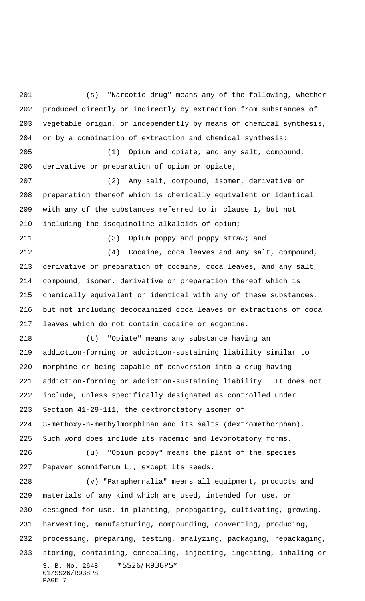S. B. No. 2648 \* SS26/R938PS\* 01/SS26/R938PS PAGE 7 (s) "Narcotic drug" means any of the following, whether produced directly or indirectly by extraction from substances of vegetable origin, or independently by means of chemical synthesis, or by a combination of extraction and chemical synthesis: (1) Opium and opiate, and any salt, compound, derivative or preparation of opium or opiate; (2) Any salt, compound, isomer, derivative or preparation thereof which is chemically equivalent or identical with any of the substances referred to in clause 1, but not including the isoquinoline alkaloids of opium; (3) Opium poppy and poppy straw; and (4) Cocaine, coca leaves and any salt, compound, derivative or preparation of cocaine, coca leaves, and any salt, compound, isomer, derivative or preparation thereof which is chemically equivalent or identical with any of these substances, but not including decocainized coca leaves or extractions of coca leaves which do not contain cocaine or ecgonine. (t) "Opiate" means any substance having an addiction-forming or addiction-sustaining liability similar to morphine or being capable of conversion into a drug having addiction-forming or addiction-sustaining liability. It does not include, unless specifically designated as controlled under Section 41-29-111, the dextrorotatory isomer of 3-methoxy-n-methylmorphinan and its salts (dextromethorphan). Such word does include its racemic and levorotatory forms. (u) "Opium poppy" means the plant of the species Papaver somniferum L., except its seeds. (v) "Paraphernalia" means all equipment, products and materials of any kind which are used, intended for use, or designed for use, in planting, propagating, cultivating, growing, harvesting, manufacturing, compounding, converting, producing, processing, preparing, testing, analyzing, packaging, repackaging, storing, containing, concealing, injecting, ingesting, inhaling or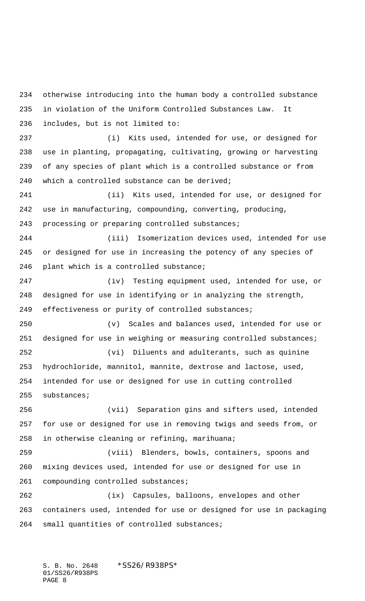otherwise introducing into the human body a controlled substance in violation of the Uniform Controlled Substances Law. It includes, but is not limited to: (i) Kits used, intended for use, or designed for use in planting, propagating, cultivating, growing or harvesting of any species of plant which is a controlled substance or from which a controlled substance can be derived; (ii) Kits used, intended for use, or designed for use in manufacturing, compounding, converting, producing, 243 processing or preparing controlled substances; (iii) Isomerization devices used, intended for use or designed for use in increasing the potency of any species of plant which is a controlled substance; (iv) Testing equipment used, intended for use, or designed for use in identifying or in analyzing the strength, effectiveness or purity of controlled substances; (v) Scales and balances used, intended for use or 251 designed for use in weighing or measuring controlled substances; (vi) Diluents and adulterants, such as quinine hydrochloride, mannitol, mannite, dextrose and lactose, used, intended for use or designed for use in cutting controlled substances; (vii) Separation gins and sifters used, intended for use or designed for use in removing twigs and seeds from, or in otherwise cleaning or refining, marihuana; (viii) Blenders, bowls, containers, spoons and mixing devices used, intended for use or designed for use in compounding controlled substances; (ix) Capsules, balloons, envelopes and other containers used, intended for use or designed for use in packaging small quantities of controlled substances;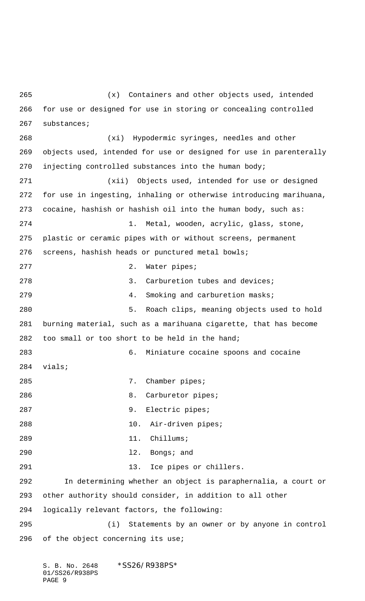(x) Containers and other objects used, intended for use or designed for use in storing or concealing controlled substances; (xi) Hypodermic syringes, needles and other objects used, intended for use or designed for use in parenterally injecting controlled substances into the human body; (xii) Objects used, intended for use or designed for use in ingesting, inhaling or otherwise introducing marihuana, cocaine, hashish or hashish oil into the human body, such as: 1. Metal, wooden, acrylic, glass, stone, plastic or ceramic pipes with or without screens, permanent screens, hashish heads or punctured metal bowls; 277 2. Water pipes; 278 3. Carburetion tubes and devices; 279 31. Smoking and carburetion masks; 5. Roach clips, meaning objects used to hold burning material, such as a marihuana cigarette, that has become too small or too short to be held in the hand; 6. Miniature cocaine spoons and cocaine vials; 285 7. Chamber pipes; 286 8. Carburetor pipes; 9. Electric pipes; 10. Air-driven pipes; 11. Chillums; l2. Bongs; and 291 13. Ice pipes or chillers. In determining whether an object is paraphernalia, a court or other authority should consider, in addition to all other logically relevant factors, the following: (i) Statements by an owner or by anyone in control 296 of the object concerning its use;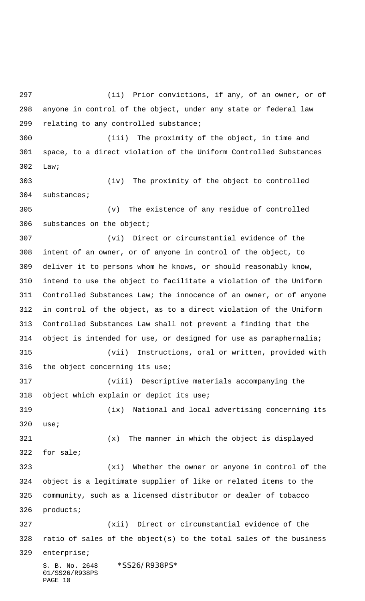S. B. No. 2648 \* SS26/R938PS\* 01/SS26/R938PS PAGE 10 (ii) Prior convictions, if any, of an owner, or of anyone in control of the object, under any state or federal law relating to any controlled substance; (iii) The proximity of the object, in time and space, to a direct violation of the Uniform Controlled Substances Law; (iv) The proximity of the object to controlled substances; (v) The existence of any residue of controlled substances on the object; (vi) Direct or circumstantial evidence of the intent of an owner, or of anyone in control of the object, to deliver it to persons whom he knows, or should reasonably know, intend to use the object to facilitate a violation of the Uniform Controlled Substances Law; the innocence of an owner, or of anyone in control of the object, as to a direct violation of the Uniform Controlled Substances Law shall not prevent a finding that the object is intended for use, or designed for use as paraphernalia; (vii) Instructions, oral or written, provided with the object concerning its use; (viii) Descriptive materials accompanying the object which explain or depict its use; (ix) National and local advertising concerning its use; (x) The manner in which the object is displayed for sale; (xi) Whether the owner or anyone in control of the object is a legitimate supplier of like or related items to the community, such as a licensed distributor or dealer of tobacco products; (xii) Direct or circumstantial evidence of the ratio of sales of the object(s) to the total sales of the business enterprise;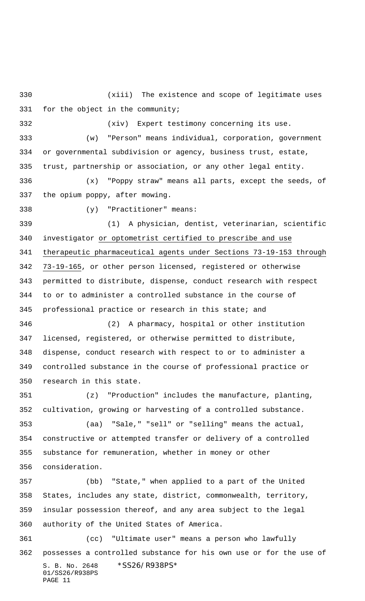(xiii) The existence and scope of legitimate uses for the object in the community;

(xiv) Expert testimony concerning its use.

 (w) "Person" means individual, corporation, government or governmental subdivision or agency, business trust, estate, trust, partnership or association, or any other legal entity.

 (x) "Poppy straw" means all parts, except the seeds, of the opium poppy, after mowing.

(y) "Practitioner" means:

 (1) A physician, dentist, veterinarian, scientific investigator or optometrist certified to prescribe and use therapeutic pharmaceutical agents under Sections 73-19-153 through 73-19-165, or other person licensed, registered or otherwise permitted to distribute, dispense, conduct research with respect to or to administer a controlled substance in the course of professional practice or research in this state; and

 (2) A pharmacy, hospital or other institution licensed, registered, or otherwise permitted to distribute, dispense, conduct research with respect to or to administer a controlled substance in the course of professional practice or research in this state.

 (z) "Production" includes the manufacture, planting, cultivation, growing or harvesting of a controlled substance. (aa) "Sale," "sell" or "selling" means the actual,

 constructive or attempted transfer or delivery of a controlled substance for remuneration, whether in money or other consideration.

 (bb) "State," when applied to a part of the United States, includes any state, district, commonwealth, territory, insular possession thereof, and any area subject to the legal authority of the United States of America.

S. B. No. 2648 \*SS26/R938PS\* 01/SS26/R938PS PAGE 11 (cc) "Ultimate user" means a person who lawfully possesses a controlled substance for his own use or for the use of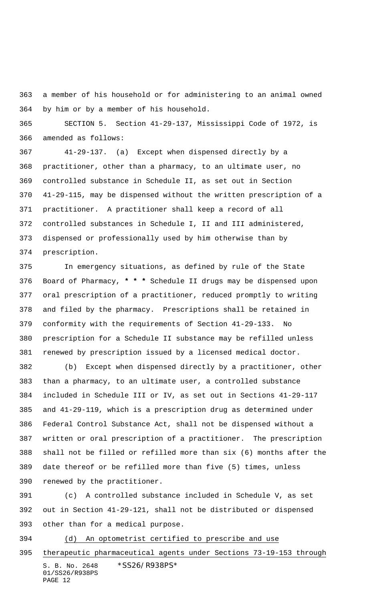a member of his household or for administering to an animal owned by him or by a member of his household.

 SECTION 5. Section 41-29-137, Mississippi Code of 1972, is amended as follows:

 41-29-137. (a) Except when dispensed directly by a practitioner, other than a pharmacy, to an ultimate user, no controlled substance in Schedule II, as set out in Section 41-29-115, may be dispensed without the written prescription of a practitioner. A practitioner shall keep a record of all controlled substances in Schedule I, II and III administered, dispensed or professionally used by him otherwise than by prescription.

 In emergency situations, as defined by rule of the State Board of Pharmacy, **\* \* \*** Schedule II drugs may be dispensed upon oral prescription of a practitioner, reduced promptly to writing and filed by the pharmacy. Prescriptions shall be retained in conformity with the requirements of Section 41-29-133. No prescription for a Schedule II substance may be refilled unless renewed by prescription issued by a licensed medical doctor.

 (b) Except when dispensed directly by a practitioner, other than a pharmacy, to an ultimate user, a controlled substance included in Schedule III or IV, as set out in Sections 41-29-117 and 41-29-119, which is a prescription drug as determined under Federal Control Substance Act, shall not be dispensed without a written or oral prescription of a practitioner. The prescription shall not be filled or refilled more than six (6) months after the date thereof or be refilled more than five (5) times, unless renewed by the practitioner.

 (c) A controlled substance included in Schedule V, as set out in Section 41-29-121, shall not be distributed or dispensed other than for a medical purpose.

(d) An optometrist certified to prescribe and use

S. B. No. 2648 \* SS26/R938PS\* 01/SS26/R938PS PAGE 12 therapeutic pharmaceutical agents under Sections 73-19-153 through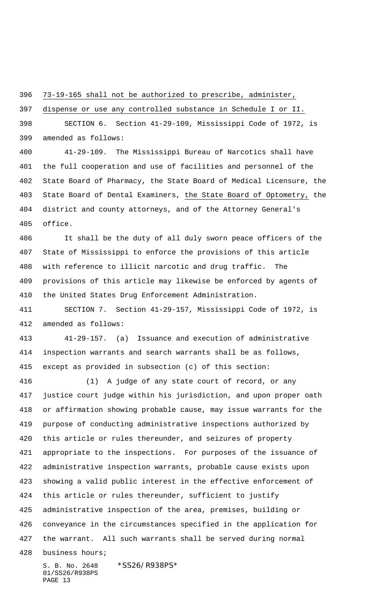73-19-165 shall not be authorized to prescribe, administer,

dispense or use any controlled substance in Schedule I or II.

 SECTION 6. Section 41-29-109, Mississippi Code of 1972, is amended as follows:

 41-29-109. The Mississippi Bureau of Narcotics shall have the full cooperation and use of facilities and personnel of the State Board of Pharmacy, the State Board of Medical Licensure, the State Board of Dental Examiners, the State Board of Optometry, the district and county attorneys, and of the Attorney General's office.

 It shall be the duty of all duly sworn peace officers of the State of Mississippi to enforce the provisions of this article with reference to illicit narcotic and drug traffic. The provisions of this article may likewise be enforced by agents of the United States Drug Enforcement Administration.

 SECTION 7. Section 41-29-157, Mississippi Code of 1972, is amended as follows:

 41-29-157. (a) Issuance and execution of administrative inspection warrants and search warrants shall be as follows, except as provided in subsection (c) of this section:

 (1) A judge of any state court of record, or any justice court judge within his jurisdiction, and upon proper oath or affirmation showing probable cause, may issue warrants for the purpose of conducting administrative inspections authorized by this article or rules thereunder, and seizures of property appropriate to the inspections. For purposes of the issuance of administrative inspection warrants, probable cause exists upon showing a valid public interest in the effective enforcement of this article or rules thereunder, sufficient to justify administrative inspection of the area, premises, building or conveyance in the circumstances specified in the application for the warrant. All such warrants shall be served during normal

business hours;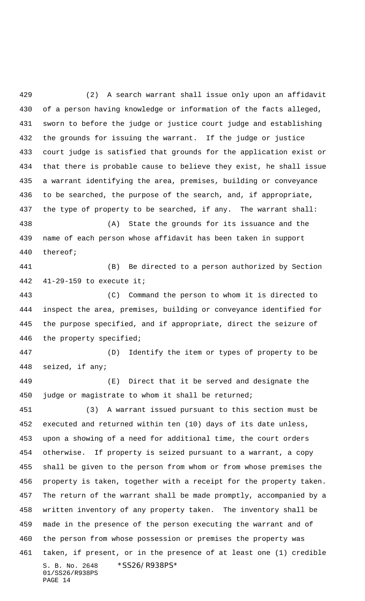(2) A search warrant shall issue only upon an affidavit of a person having knowledge or information of the facts alleged, sworn to before the judge or justice court judge and establishing the grounds for issuing the warrant. If the judge or justice court judge is satisfied that grounds for the application exist or that there is probable cause to believe they exist, he shall issue a warrant identifying the area, premises, building or conveyance to be searched, the purpose of the search, and, if appropriate, the type of property to be searched, if any. The warrant shall: (A) State the grounds for its issuance and the name of each person whose affidavit has been taken in support thereof; (B) Be directed to a person authorized by Section 41-29-159 to execute it; (C) Command the person to whom it is directed to inspect the area, premises, building or conveyance identified for the purpose specified, and if appropriate, direct the seizure of the property specified; (D) Identify the item or types of property to be seized, if any; (E) Direct that it be served and designate the judge or magistrate to whom it shall be returned; (3) A warrant issued pursuant to this section must be executed and returned within ten (10) days of its date unless, upon a showing of a need for additional time, the court orders otherwise. If property is seized pursuant to a warrant, a copy shall be given to the person from whom or from whose premises the property is taken, together with a receipt for the property taken. The return of the warrant shall be made promptly, accompanied by a

S. B. No. 2648 \*SS26/R938PS\* 01/SS26/R938PS written inventory of any property taken. The inventory shall be made in the presence of the person executing the warrant and of the person from whose possession or premises the property was taken, if present, or in the presence of at least one (1) credible

PAGE 14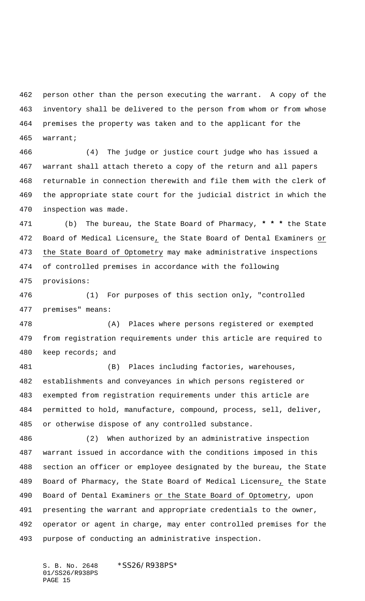person other than the person executing the warrant. A copy of the inventory shall be delivered to the person from whom or from whose premises the property was taken and to the applicant for the warrant;

 (4) The judge or justice court judge who has issued a warrant shall attach thereto a copy of the return and all papers returnable in connection therewith and file them with the clerk of the appropriate state court for the judicial district in which the inspection was made.

 (b) The bureau, the State Board of Pharmacy, **\* \* \*** the State Board of Medical Licensure, the State Board of Dental Examiners or the State Board of Optometry may make administrative inspections of controlled premises in accordance with the following provisions:

 (1) For purposes of this section only, "controlled premises" means:

 (A) Places where persons registered or exempted from registration requirements under this article are required to keep records; and

 (B) Places including factories, warehouses, establishments and conveyances in which persons registered or exempted from registration requirements under this article are permitted to hold, manufacture, compound, process, sell, deliver, or otherwise dispose of any controlled substance.

 (2) When authorized by an administrative inspection warrant issued in accordance with the conditions imposed in this section an officer or employee designated by the bureau, the State Board of Pharmacy, the State Board of Medical Licensure, the State Board of Dental Examiners or the State Board of Optometry, upon presenting the warrant and appropriate credentials to the owner, operator or agent in charge, may enter controlled premises for the purpose of conducting an administrative inspection.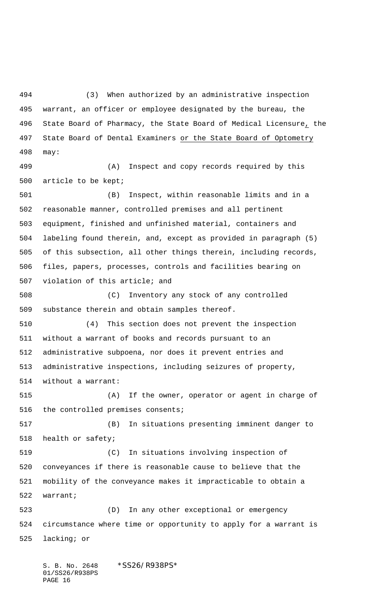(3) When authorized by an administrative inspection warrant, an officer or employee designated by the bureau, the State Board of Pharmacy, the State Board of Medical Licensure, the 497 State Board of Dental Examiners or the State Board of Optometry may:

 (A) Inspect and copy records required by this article to be kept;

 (B) Inspect, within reasonable limits and in a reasonable manner, controlled premises and all pertinent equipment, finished and unfinished material, containers and labeling found therein, and, except as provided in paragraph (5) of this subsection, all other things therein, including records, files, papers, processes, controls and facilities bearing on violation of this article; and

 (C) Inventory any stock of any controlled substance therein and obtain samples thereof.

 (4) This section does not prevent the inspection without a warrant of books and records pursuant to an administrative subpoena, nor does it prevent entries and administrative inspections, including seizures of property, without a warrant:

 (A) If the owner, operator or agent in charge of the controlled premises consents;

 (B) In situations presenting imminent danger to health or safety;

 (C) In situations involving inspection of conveyances if there is reasonable cause to believe that the mobility of the conveyance makes it impracticable to obtain a warrant;

 (D) In any other exceptional or emergency circumstance where time or opportunity to apply for a warrant is lacking; or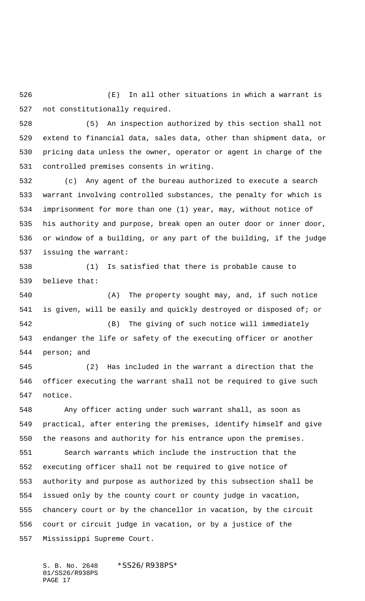(E) In all other situations in which a warrant is not constitutionally required.

 (5) An inspection authorized by this section shall not extend to financial data, sales data, other than shipment data, or pricing data unless the owner, operator or agent in charge of the controlled premises consents in writing.

 (c) Any agent of the bureau authorized to execute a search warrant involving controlled substances, the penalty for which is imprisonment for more than one (1) year, may, without notice of his authority and purpose, break open an outer door or inner door, or window of a building, or any part of the building, if the judge issuing the warrant:

 (1) Is satisfied that there is probable cause to believe that:

 (A) The property sought may, and, if such notice is given, will be easily and quickly destroyed or disposed of; or (B) The giving of such notice will immediately endanger the life or safety of the executing officer or another person; and

 (2) Has included in the warrant a direction that the officer executing the warrant shall not be required to give such notice.

 Any officer acting under such warrant shall, as soon as practical, after entering the premises, identify himself and give the reasons and authority for his entrance upon the premises.

 Search warrants which include the instruction that the executing officer shall not be required to give notice of authority and purpose as authorized by this subsection shall be issued only by the county court or county judge in vacation, chancery court or by the chancellor in vacation, by the circuit court or circuit judge in vacation, or by a justice of the Mississippi Supreme Court.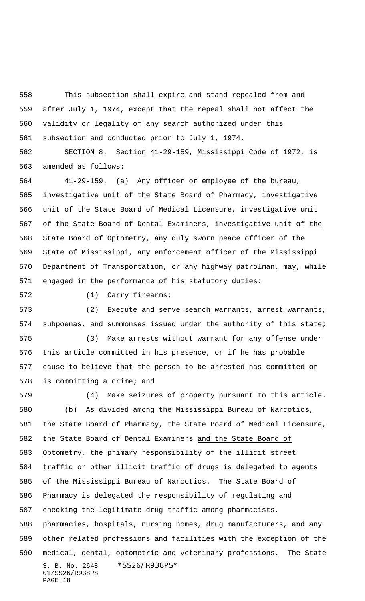This subsection shall expire and stand repealed from and after July 1, 1974, except that the repeal shall not affect the validity or legality of any search authorized under this subsection and conducted prior to July 1, 1974.

 SECTION 8. Section 41-29-159, Mississippi Code of 1972, is amended as follows:

 41-29-159. (a) Any officer or employee of the bureau, investigative unit of the State Board of Pharmacy, investigative unit of the State Board of Medical Licensure, investigative unit 567 of the State Board of Dental Examiners, investigative unit of the State Board of Optometry, any duly sworn peace officer of the State of Mississippi, any enforcement officer of the Mississippi Department of Transportation, or any highway patrolman, may, while engaged in the performance of his statutory duties:

(1) Carry firearms;

 (2) Execute and serve search warrants, arrest warrants, subpoenas, and summonses issued under the authority of this state;

 (3) Make arrests without warrant for any offense under this article committed in his presence, or if he has probable cause to believe that the person to be arrested has committed or is committing a crime; and

S. B. No. 2648 \* SS26/R938PS\* 01/SS26/R938PS PAGE 18 (4) Make seizures of property pursuant to this article. (b) As divided among the Mississippi Bureau of Narcotics, the State Board of Pharmacy, the State Board of Medical Licensure, the State Board of Dental Examiners and the State Board of Optometry, the primary responsibility of the illicit street traffic or other illicit traffic of drugs is delegated to agents of the Mississippi Bureau of Narcotics. The State Board of Pharmacy is delegated the responsibility of regulating and checking the legitimate drug traffic among pharmacists, pharmacies, hospitals, nursing homes, drug manufacturers, and any other related professions and facilities with the exception of the 590 medical, dental, optometric and veterinary professions. The State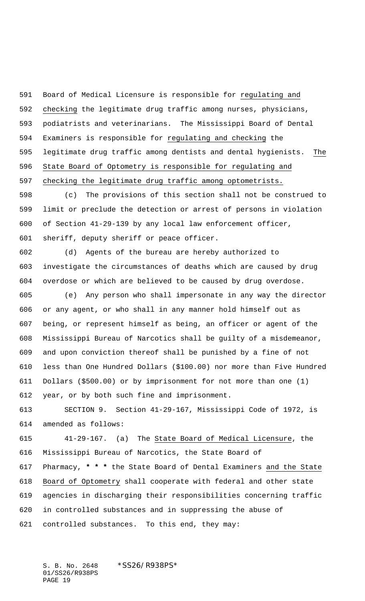Board of Medical Licensure is responsible for regulating and checking the legitimate drug traffic among nurses, physicians, podiatrists and veterinarians. The Mississippi Board of Dental Examiners is responsible for regulating and checking the legitimate drug traffic among dentists and dental hygienists. The State Board of Optometry is responsible for regulating and checking the legitimate drug traffic among optometrists.

 (c) The provisions of this section shall not be construed to limit or preclude the detection or arrest of persons in violation of Section 41-29-139 by any local law enforcement officer, sheriff, deputy sheriff or peace officer.

 (d) Agents of the bureau are hereby authorized to investigate the circumstances of deaths which are caused by drug overdose or which are believed to be caused by drug overdose.

 (e) Any person who shall impersonate in any way the director or any agent, or who shall in any manner hold himself out as being, or represent himself as being, an officer or agent of the Mississippi Bureau of Narcotics shall be guilty of a misdemeanor, and upon conviction thereof shall be punished by a fine of not less than One Hundred Dollars (\$100.00) nor more than Five Hundred Dollars (\$500.00) or by imprisonment for not more than one (1) year, or by both such fine and imprisonment.

 SECTION 9. Section 41-29-167, Mississippi Code of 1972, is amended as follows:

 41-29-167. (a) The State Board of Medical Licensure, the Mississippi Bureau of Narcotics, the State Board of Pharmacy, **\* \* \*** the State Board of Dental Examiners and the State Board of Optometry shall cooperate with federal and other state agencies in discharging their responsibilities concerning traffic in controlled substances and in suppressing the abuse of controlled substances. To this end, they may: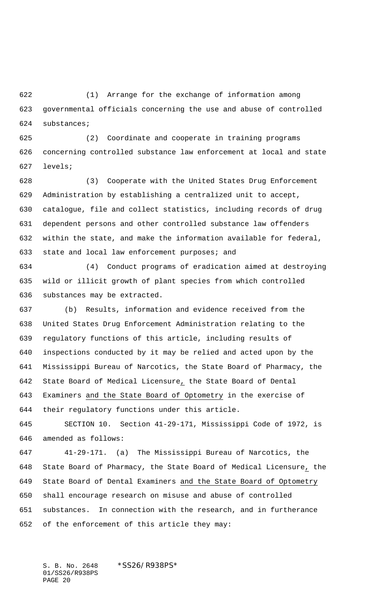(1) Arrange for the exchange of information among governmental officials concerning the use and abuse of controlled substances;

 (2) Coordinate and cooperate in training programs concerning controlled substance law enforcement at local and state levels;

 (3) Cooperate with the United States Drug Enforcement Administration by establishing a centralized unit to accept, catalogue, file and collect statistics, including records of drug dependent persons and other controlled substance law offenders within the state, and make the information available for federal, 633 state and local law enforcement purposes; and

 (4) Conduct programs of eradication aimed at destroying wild or illicit growth of plant species from which controlled substances may be extracted.

 (b) Results, information and evidence received from the United States Drug Enforcement Administration relating to the regulatory functions of this article, including results of inspections conducted by it may be relied and acted upon by the Mississippi Bureau of Narcotics, the State Board of Pharmacy, the State Board of Medical Licensure, the State Board of Dental Examiners and the State Board of Optometry in the exercise of their regulatory functions under this article.

 SECTION 10. Section 41-29-171, Mississippi Code of 1972, is amended as follows:

 41-29-171. (a) The Mississippi Bureau of Narcotics, the State Board of Pharmacy, the State Board of Medical Licensure, the State Board of Dental Examiners and the State Board of Optometry shall encourage research on misuse and abuse of controlled substances. In connection with the research, and in furtherance of the enforcement of this article they may: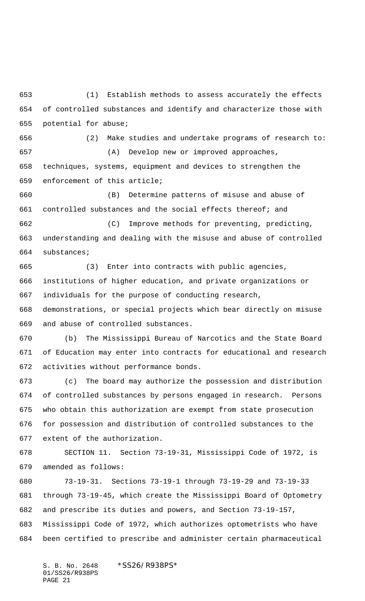(1) Establish methods to assess accurately the effects of controlled substances and identify and characterize those with potential for abuse;

 (2) Make studies and undertake programs of research to: (A) Develop new or improved approaches, techniques, systems, equipment and devices to strengthen the enforcement of this article;

 (B) Determine patterns of misuse and abuse of controlled substances and the social effects thereof; and (C) Improve methods for preventing, predicting,

 understanding and dealing with the misuse and abuse of controlled substances;

 (3) Enter into contracts with public agencies, institutions of higher education, and private organizations or individuals for the purpose of conducting research,

 demonstrations, or special projects which bear directly on misuse and abuse of controlled substances.

 (b) The Mississippi Bureau of Narcotics and the State Board of Education may enter into contracts for educational and research activities without performance bonds.

 (c) The board may authorize the possession and distribution of controlled substances by persons engaged in research. Persons who obtain this authorization are exempt from state prosecution for possession and distribution of controlled substances to the extent of the authorization.

 SECTION 11. Section 73-19-31, Mississippi Code of 1972, is amended as follows:

 73-19-31. Sections 73-19-1 through 73-19-29 and 73-19-33 through 73-19-45, which create the Mississippi Board of Optometry and prescribe its duties and powers, and Section 73-19-157, Mississippi Code of 1972, which authorizes optometrists who have been certified to prescribe and administer certain pharmaceutical